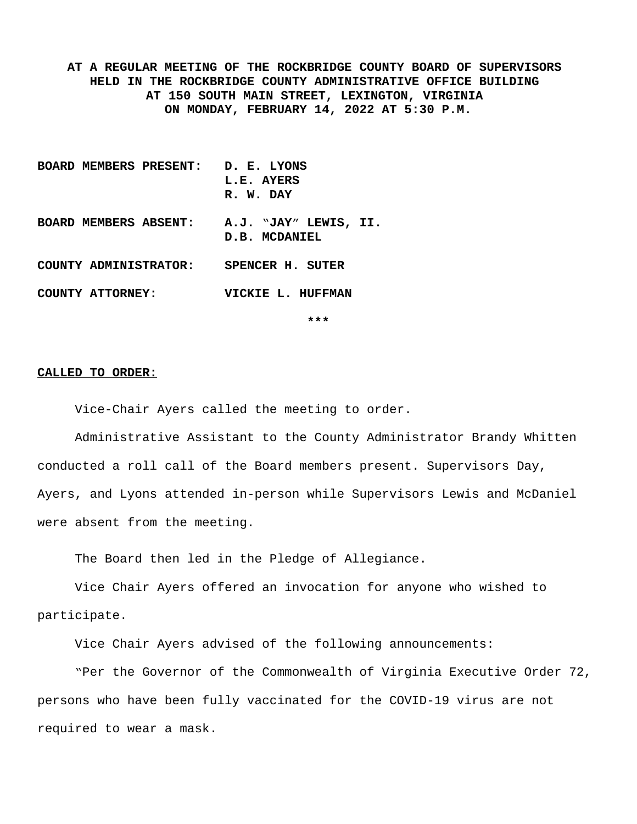**AT A REGULAR MEETING OF THE ROCKBRIDGE COUNTY BOARD OF SUPERVISORS HELD IN THE ROCKBRIDGE COUNTY ADMINISTRATIVE OFFICE BUILDING AT 150 SOUTH MAIN STREET, LEXINGTON, VIRGINIA ON MONDAY, FEBRUARY 14, 2022 AT 5:30 P.M.**

**BOARD MEMBERS PRESENT: D. E. LYONS L.E. AYERS R. W. DAY BOARD MEMBERS ABSENT: A.J. "JAY" LEWIS, II. D.B. MCDANIEL COUNTY ADMINISTRATOR: SPENCER H. SUTER COUNTY ATTORNEY: VICKIE L. HUFFMAN**

**\*\*\***

#### **CALLED TO ORDER:**

Vice-Chair Ayers called the meeting to order.

Administrative Assistant to the County Administrator Brandy Whitten conducted a roll call of the Board members present. Supervisors Day, Ayers, and Lyons attended in-person while Supervisors Lewis and McDaniel were absent from the meeting.

The Board then led in the Pledge of Allegiance.

Vice Chair Ayers offered an invocation for anyone who wished to participate.

Vice Chair Ayers advised of the following announcements:

"Per the Governor of the Commonwealth of Virginia Executive Order 72, persons who have been fully vaccinated for the COVID-19 virus are not required to wear a mask.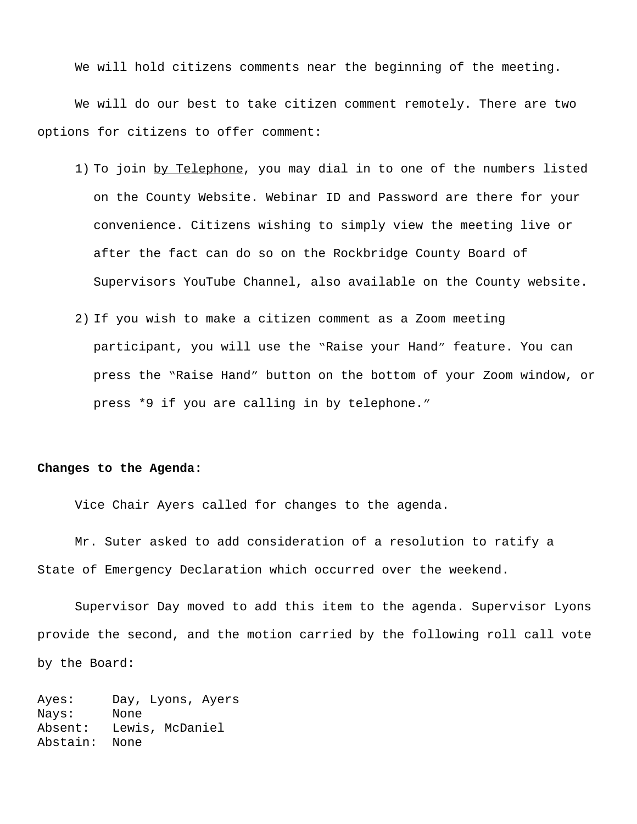We will hold citizens comments near the beginning of the meeting.

We will do our best to take citizen comment remotely. There are two options for citizens to offer comment:

- 1) To join by Telephone, you may dial in to one of the numbers listed on the County Website. Webinar ID and Password are there for your convenience. Citizens wishing to simply view the meeting live or after the fact can do so on the Rockbridge County Board of Supervisors YouTube Channel, also available on the County website.
- 2) If you wish to make a citizen comment as a Zoom meeting participant, you will use the "Raise your Hand" feature. You can press the "Raise Hand" button on the bottom of your Zoom window, or press \*9 if you are calling in by telephone."

#### **Changes to the Agenda:**

Vice Chair Ayers called for changes to the agenda.

Mr. Suter asked to add consideration of a resolution to ratify a State of Emergency Declaration which occurred over the weekend.

Supervisor Day moved to add this item to the agenda. Supervisor Lyons provide the second, and the motion carried by the following roll call vote by the Board:

Ayes: Day, Lyons, Ayers Nays: None Absent: Lewis, McDaniel Abstain: None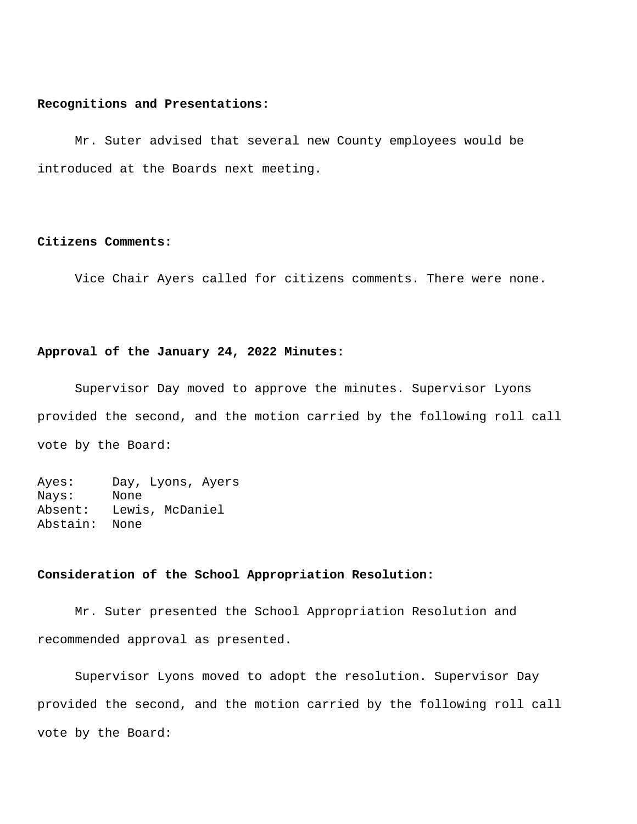#### **Recognitions and Presentations:**

Mr. Suter advised that several new County employees would be introduced at the Boards next meeting.

#### **Citizens Comments:**

Vice Chair Ayers called for citizens comments. There were none.

### **Approval of the January 24, 2022 Minutes:**

Supervisor Day moved to approve the minutes. Supervisor Lyons provided the second, and the motion carried by the following roll call vote by the Board:

Ayes: Day, Lyons, Ayers Nays: None Absent: Lewis, McDaniel Abstain: None

# **Consideration of the School Appropriation Resolution:**

Mr. Suter presented the School Appropriation Resolution and recommended approval as presented.

Supervisor Lyons moved to adopt the resolution. Supervisor Day provided the second, and the motion carried by the following roll call vote by the Board: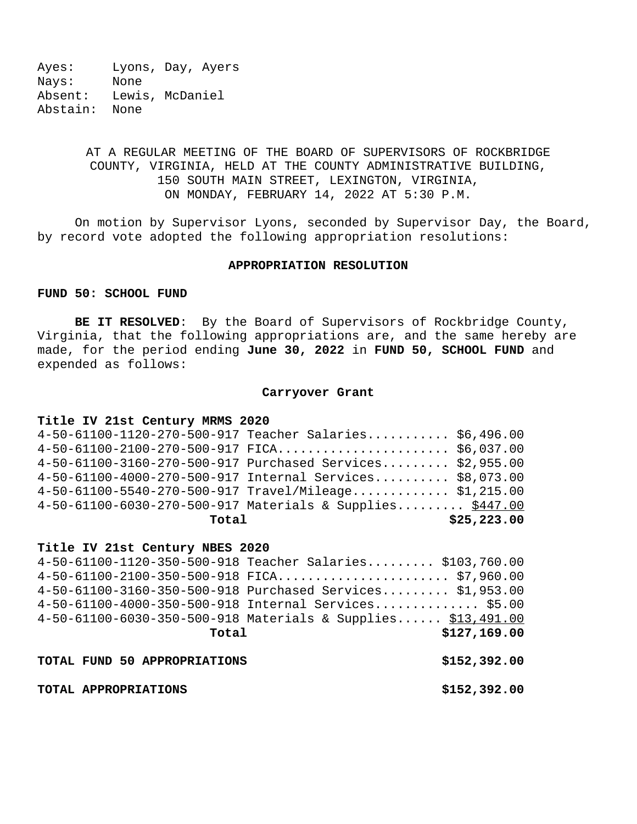Ayes: Lyons, Day, Ayers Nays: None Absent: Lewis, McDaniel Abstain: None

# AT A REGULAR MEETING OF THE BOARD OF SUPERVISORS OF ROCKBRIDGE COUNTY, VIRGINIA, HELD AT THE COUNTY ADMINISTRATIVE BUILDING, 150 SOUTH MAIN STREET, LEXINGTON, VIRGINIA, ON MONDAY, FEBRUARY 14, 2022 AT 5:30 P.M.

On motion by Supervisor Lyons, seconded by Supervisor Day, the Board, by record vote adopted the following appropriation resolutions:

#### **APPROPRIATION RESOLUTION**

### **FUND 50: SCHOOL FUND**

**BE IT RESOLVED**: By the Board of Supervisors of Rockbridge County, Virginia, that the following appropriations are, and the same hereby are made, for the period ending **June 30, 2022** in **FUND 50, SCHOOL FUND** and expended as follows:

#### **Carryover Grant**

#### **Title IV 21st Century MRMS 2020**

| Total |                                                           | \$25, 223.00 |
|-------|-----------------------------------------------------------|--------------|
|       | 4-50-61100-6030-270-500-917 Materials & Supplies \$447.00 |              |
|       | $4-50-61100-5540-270-500-917$ Travel/Mileage \$1,215.00   |              |
|       | 4-50-61100-4000-270-500-917 Internal Services \$8,073.00  |              |
|       | 4-50-61100-3160-270-500-917 Purchased Services \$2,955.00 |              |
|       | $4-50-61100-2100-270-500-917$ FICA \$6,037.00             |              |
|       | 4-50-61100-1120-270-500-917 Teacher Salaries \$6,496.00   |              |

#### **Title IV 21st Century NBES 2020**

| 4-50-61100-1120-350-500-918 Teacher Salaries \$103,760.00    |              |  |
|--------------------------------------------------------------|--------------|--|
|                                                              |              |  |
| 4-50-61100-3160-350-500-918 Purchased Services \$1,953.00    |              |  |
| 4-50-61100-4000-350-500-918 Internal Services \$5.00         |              |  |
| 4-50-61100-6030-350-500-918 Materials & Supplies \$13,491.00 |              |  |
| Total                                                        | \$127,169.00 |  |
|                                                              |              |  |
| TOTAL FUND 50 APPROPRIATIONS                                 | \$152,392.00 |  |

**TOTAL APPROPRIATIONS \$152,392.00**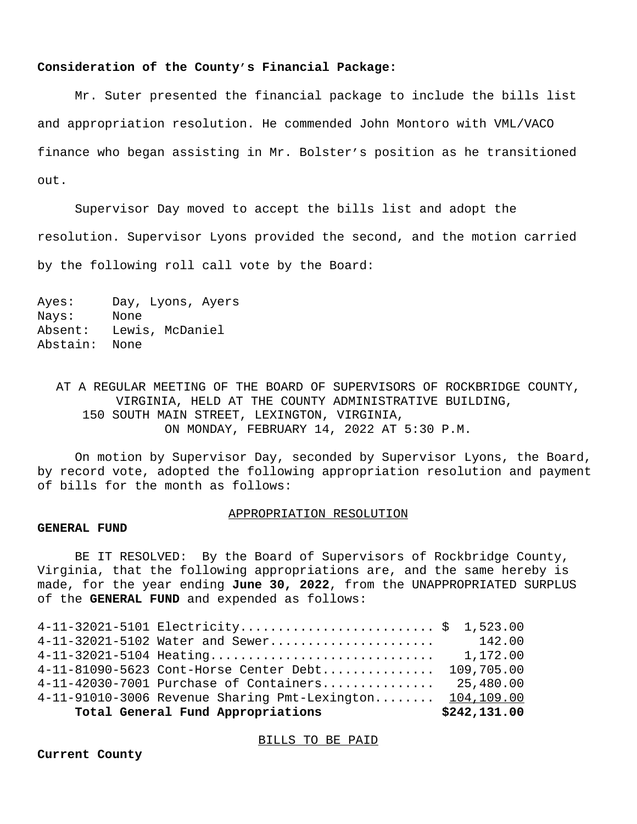#### **Consideration of the County's Financial Package:**

Mr. Suter presented the financial package to include the bills list and appropriation resolution. He commended John Montoro with VML/VACO finance who began assisting in Mr. Bolster's position as he transitioned out.

Supervisor Day moved to accept the bills list and adopt the resolution. Supervisor Lyons provided the second, and the motion carried by the following roll call vote by the Board:

Ayes: Day, Lyons, Ayers Nays: None Absent: Lewis, McDaniel Abstain: None

AT A REGULAR MEETING OF THE BOARD OF SUPERVISORS OF ROCKBRIDGE COUNTY, VIRGINIA, HELD AT THE COUNTY ADMINISTRATIVE BUILDING, 150 SOUTH MAIN STREET, LEXINGTON, VIRGINIA, ON MONDAY, FEBRUARY 14, 2022 AT 5:30 P.M.

On motion by Supervisor Day, seconded by Supervisor Lyons, the Board, by record vote, adopted the following appropriation resolution and payment of bills for the month as follows:

#### APPROPRIATION RESOLUTION

#### **GENERAL FUND**

BE IT RESOLVED: By the Board of Supervisors of Rockbridge County, Virginia, that the following appropriations are, and the same hereby is made, for the year ending **June 30, 2022**, from the UNAPPROPRIATED SURPLUS of the **GENERAL FUND** and expended as follows:

| Total General Fund Appropriations                            | \$242,131.00 |
|--------------------------------------------------------------|--------------|
| $4-11-91010-3006$ Revenue Sharing Pmt-Lexington $104,109.00$ |              |
| $4-11-42030-7001$ Purchase of Containers                     | 25,480.00    |
| 4-11-81090-5623 Cont-Horse Center Debt                       | 109,705.00   |
| 4-11-32021-5104 Heating                                      | 1,172.00     |
| 4-11-32021-5102 Water and Sewer                              | 142.00       |
| 4-11-32021-5101 Electricity \$ 1,523.00                      |              |

#### BILLS TO BE PAID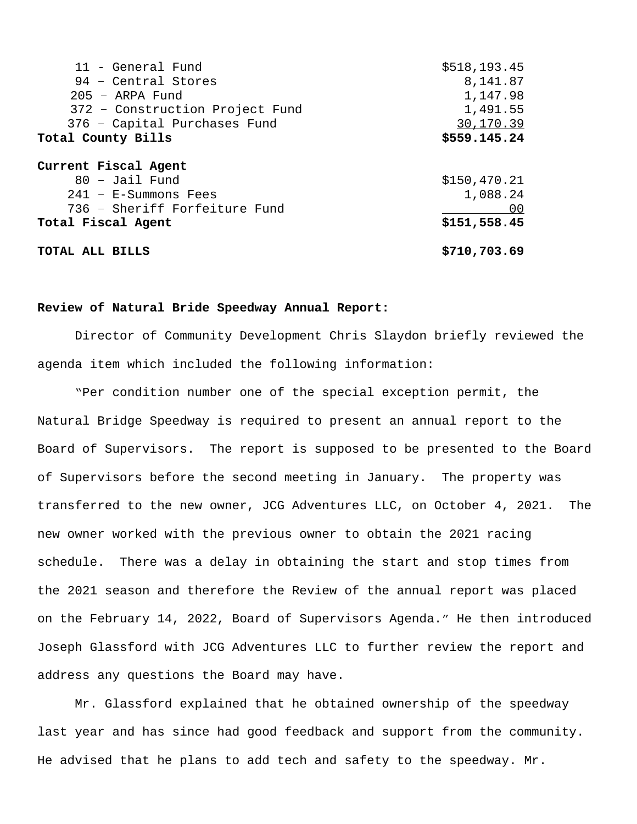| 11 - General Fund               | \$518,193.45   |
|---------------------------------|----------------|
| 94 - Central Stores             | 8,141.87       |
| $205$ – ARPA Fund               | 1,147.98       |
| 372 - Construction Project Fund | 1,491.55       |
| 376 - Capital Purchases Fund    | 30,170.39      |
| Total County Bills              | \$559.145.24   |
| Current Fiscal Agent            |                |
| $80 -$ Jail Fund                | \$150,470.21   |
| $241 - E-Summons$ Fees          | 1,088.24       |
| 736 - Sheriff Forfeiture Fund   | 0 <sub>0</sub> |
| Total Fiscal Agent              | \$151,558.45   |
| TOTAL ALL BILLS                 | \$710,703.69   |

#### **Review of Natural Bride Speedway Annual Report:**

Director of Community Development Chris Slaydon briefly reviewed the agenda item which included the following information:

"Per condition number one of the special exception permit, the Natural Bridge Speedway is required to present an annual report to the Board of Supervisors. The report is supposed to be presented to the Board of Supervisors before the second meeting in January. The property was transferred to the new owner, JCG Adventures LLC, on October 4, 2021. The new owner worked with the previous owner to obtain the 2021 racing schedule. There was a delay in obtaining the start and stop times from the 2021 season and therefore the Review of the annual report was placed on the February 14, 2022, Board of Supervisors Agenda." He then introduced Joseph Glassford with JCG Adventures LLC to further review the report and address any questions the Board may have.

Mr. Glassford explained that he obtained ownership of the speedway last year and has since had good feedback and support from the community. He advised that he plans to add tech and safety to the speedway. Mr.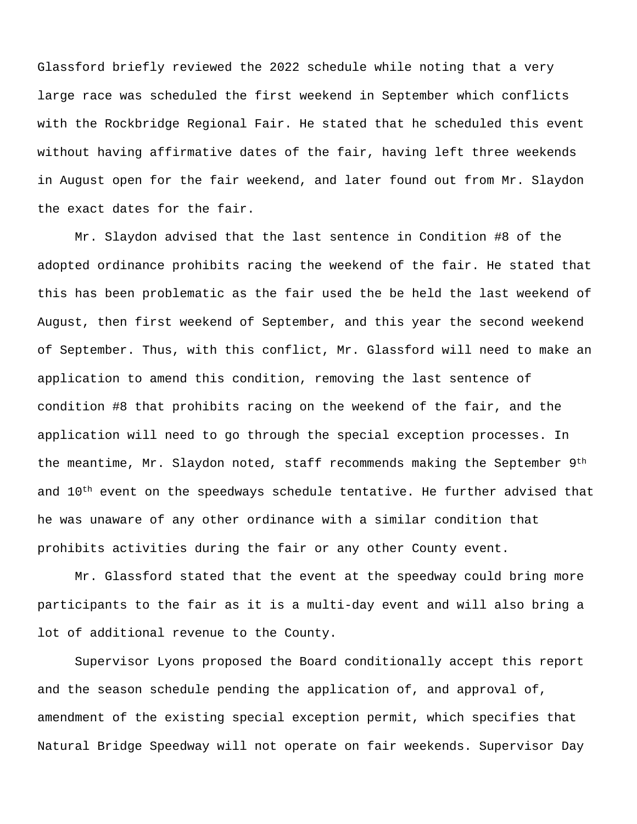Glassford briefly reviewed the 2022 schedule while noting that a very large race was scheduled the first weekend in September which conflicts with the Rockbridge Regional Fair. He stated that he scheduled this event without having affirmative dates of the fair, having left three weekends in August open for the fair weekend, and later found out from Mr. Slaydon the exact dates for the fair.

Mr. Slaydon advised that the last sentence in Condition #8 of the adopted ordinance prohibits racing the weekend of the fair. He stated that this has been problematic as the fair used the be held the last weekend of August, then first weekend of September, and this year the second weekend of September. Thus, with this conflict, Mr. Glassford will need to make an application to amend this condition, removing the last sentence of condition #8 that prohibits racing on the weekend of the fair, and the application will need to go through the special exception processes. In the meantime, Mr. Slaydon noted, staff recommends making the September 9<sup>th</sup> and  $10<sup>th</sup>$  event on the speedways schedule tentative. He further advised that he was unaware of any other ordinance with a similar condition that prohibits activities during the fair or any other County event.

Mr. Glassford stated that the event at the speedway could bring more participants to the fair as it is a multi-day event and will also bring a lot of additional revenue to the County.

Supervisor Lyons proposed the Board conditionally accept this report and the season schedule pending the application of, and approval of, amendment of the existing special exception permit, which specifies that Natural Bridge Speedway will not operate on fair weekends. Supervisor Day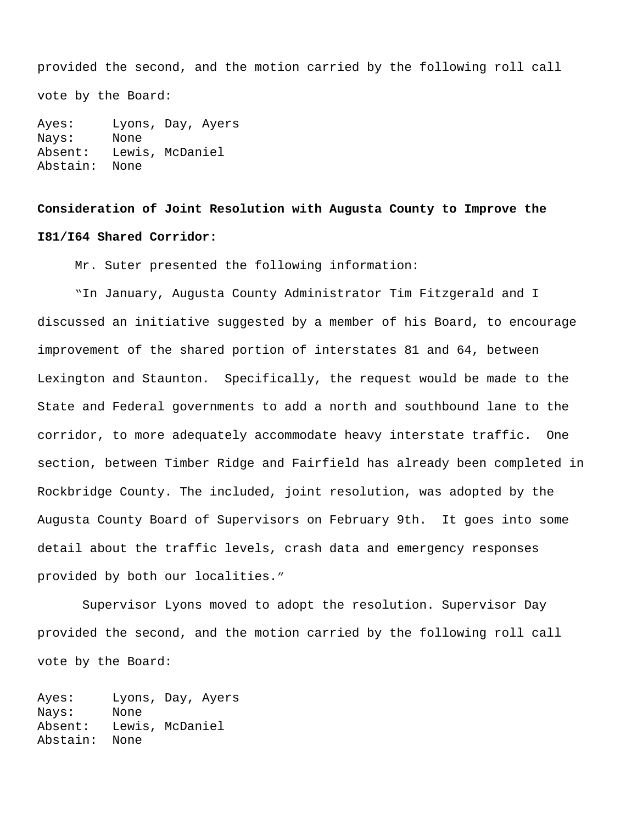provided the second, and the motion carried by the following roll call vote by the Board:

Ayes: Lyons, Day, Ayers Nays: None Absent: Lewis, McDaniel Abstain: None

# **Consideration of Joint Resolution with Augusta County to Improve the I81/I64 Shared Corridor:**

Mr. Suter presented the following information:

"In January, Augusta County Administrator Tim Fitzgerald and I discussed an initiative suggested by a member of his Board, to encourage improvement of the shared portion of interstates 81 and 64, between Lexington and Staunton. Specifically, the request would be made to the State and Federal governments to add a north and southbound lane to the corridor, to more adequately accommodate heavy interstate traffic. One section, between Timber Ridge and Fairfield has already been completed in Rockbridge County. The included, joint resolution, was adopted by the Augusta County Board of Supervisors on February 9th. It goes into some detail about the traffic levels, crash data and emergency responses provided by both our localities."

Supervisor Lyons moved to adopt the resolution. Supervisor Day provided the second, and the motion carried by the following roll call vote by the Board:

Ayes: Lyons, Day, Ayers Nays: None Absent: Lewis, McDaniel Abstain: None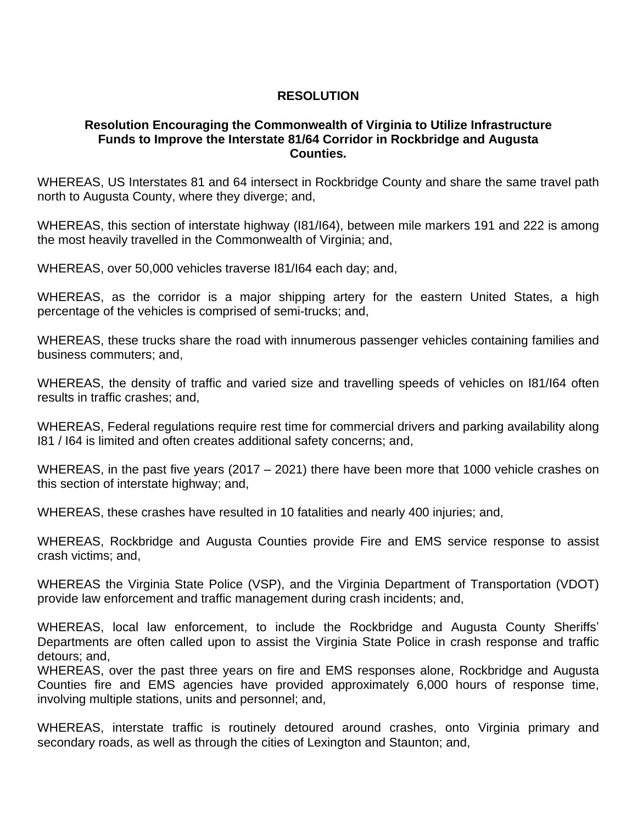# **RESOLUTION**

# **Resolution Encouraging the Commonwealth of Virginia to Utilize Infrastructure Funds to Improve the Interstate 81/64 Corridor in Rockbridge and Augusta Counties.**

WHEREAS, US Interstates 81 and 64 intersect in Rockbridge County and share the same travel path north to Augusta County, where they diverge; and,

WHEREAS, this section of interstate highway (I81/I64), between mile markers 191 and 222 is among the most heavily travelled in the Commonwealth of Virginia; and,

WHEREAS, over 50,000 vehicles traverse I81/I64 each day; and,

WHEREAS, as the corridor is a major shipping artery for the eastern United States, a high percentage of the vehicles is comprised of semi-trucks; and,

WHEREAS, these trucks share the road with innumerous passenger vehicles containing families and business commuters; and,

WHEREAS, the density of traffic and varied size and travelling speeds of vehicles on I81/I64 often results in traffic crashes; and,

WHEREAS, Federal regulations require rest time for commercial drivers and parking availability along I81 / I64 is limited and often creates additional safety concerns; and,

WHEREAS, in the past five years (2017 – 2021) there have been more that 1000 vehicle crashes on this section of interstate highway; and,

WHEREAS, these crashes have resulted in 10 fatalities and nearly 400 injuries; and,

WHEREAS, Rockbridge and Augusta Counties provide Fire and EMS service response to assist crash victims; and,

WHEREAS the Virginia State Police (VSP), and the Virginia Department of Transportation (VDOT) provide law enforcement and traffic management during crash incidents; and,

WHEREAS, local law enforcement, to include the Rockbridge and Augusta County Sheriffs' Departments are often called upon to assist the Virginia State Police in crash response and traffic detours; and,

WHEREAS, over the past three years on fire and EMS responses alone, Rockbridge and Augusta Counties fire and EMS agencies have provided approximately 6,000 hours of response time, involving multiple stations, units and personnel; and,

WHEREAS, interstate traffic is routinely detoured around crashes, onto Virginia primary and secondary roads, as well as through the cities of Lexington and Staunton; and,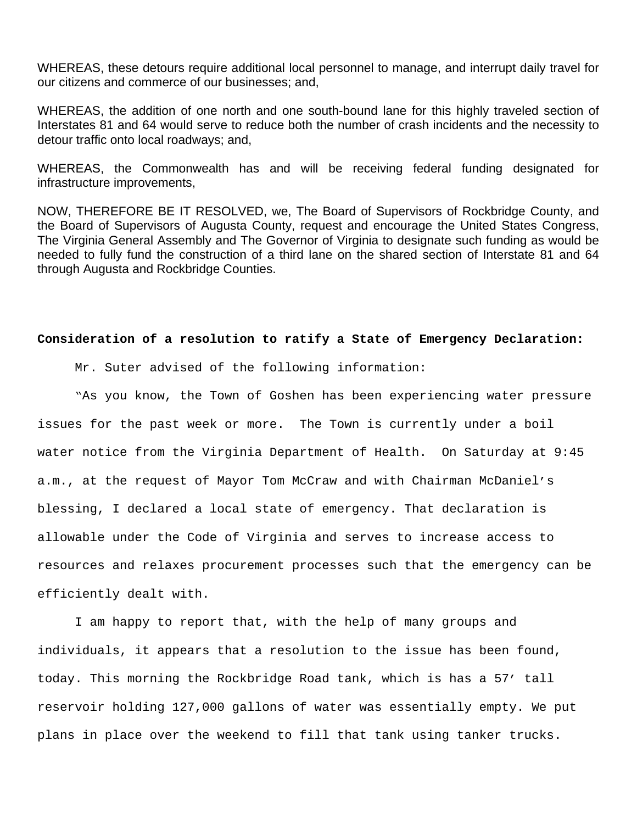WHEREAS, these detours require additional local personnel to manage, and interrupt daily travel for our citizens and commerce of our businesses; and,

WHEREAS, the addition of one north and one south-bound lane for this highly traveled section of Interstates 81 and 64 would serve to reduce both the number of crash incidents and the necessity to detour traffic onto local roadways; and,

WHEREAS, the Commonwealth has and will be receiving federal funding designated for infrastructure improvements,

NOW, THEREFORE BE IT RESOLVED, we, The Board of Supervisors of Rockbridge County, and the Board of Supervisors of Augusta County, request and encourage the United States Congress, The Virginia General Assembly and The Governor of Virginia to designate such funding as would be needed to fully fund the construction of a third lane on the shared section of Interstate 81 and 64 through Augusta and Rockbridge Counties.

# **Consideration of a resolution to ratify a State of Emergency Declaration:**

Mr. Suter advised of the following information:

"As you know, the Town of Goshen has been experiencing water pressure issues for the past week or more. The Town is currently under a boil water notice from the Virginia Department of Health. On Saturday at 9:45 a.m., at the request of Mayor Tom McCraw and with Chairman McDaniel's blessing, I declared a local state of emergency. That declaration is allowable under the Code of Virginia and serves to increase access to resources and relaxes procurement processes such that the emergency can be efficiently dealt with.

I am happy to report that, with the help of many groups and individuals, it appears that a resolution to the issue has been found, today. This morning the Rockbridge Road tank, which is has a 57' tall reservoir holding 127,000 gallons of water was essentially empty. We put plans in place over the weekend to fill that tank using tanker trucks.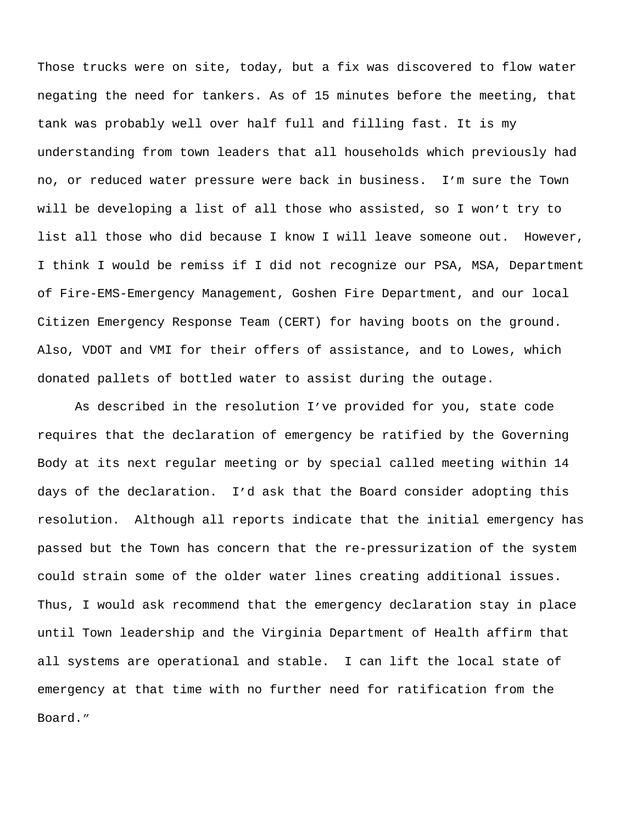Those trucks were on site, today, but a fix was discovered to flow water negating the need for tankers. As of 15 minutes before the meeting, that tank was probably well over half full and filling fast. It is my understanding from town leaders that all households which previously had no, or reduced water pressure were back in business. I'm sure the Town will be developing a list of all those who assisted, so I won't try to list all those who did because I know I will leave someone out. However, I think I would be remiss if I did not recognize our PSA, MSA, Department of Fire-EMS-Emergency Management, Goshen Fire Department, and our local Citizen Emergency Response Team (CERT) for having boots on the ground. Also, VDOT and VMI for their offers of assistance, and to Lowes, which donated pallets of bottled water to assist during the outage.

As described in the resolution I've provided for you, state code requires that the declaration of emergency be ratified by the Governing Body at its next regular meeting or by special called meeting within 14 days of the declaration. I'd ask that the Board consider adopting this resolution. Although all reports indicate that the initial emergency has passed but the Town has concern that the re-pressurization of the system could strain some of the older water lines creating additional issues. Thus, I would ask recommend that the emergency declaration stay in place until Town leadership and the Virginia Department of Health affirm that all systems are operational and stable. I can lift the local state of emergency at that time with no further need for ratification from the Board."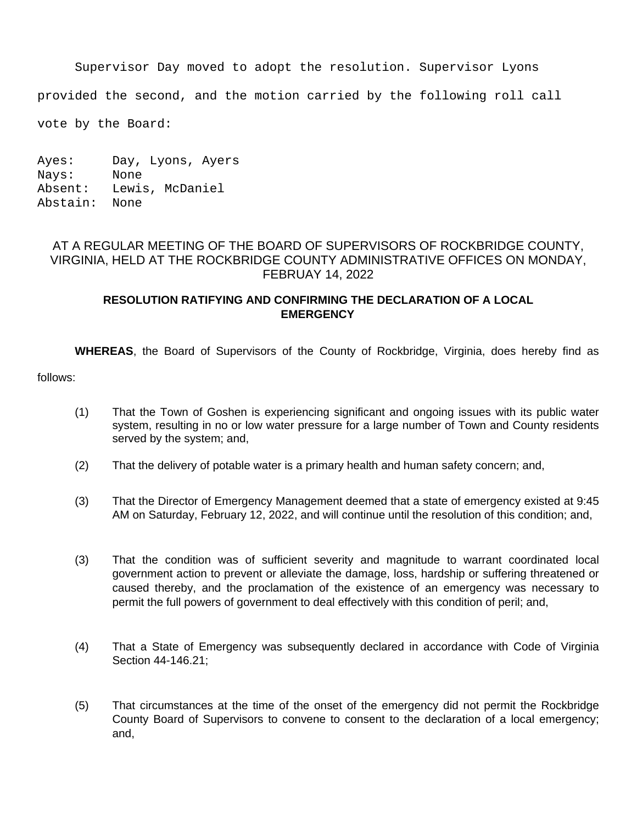Supervisor Day moved to adopt the resolution. Supervisor Lyons

provided the second, and the motion carried by the following roll call

vote by the Board:

Ayes: Day, Lyons, Ayers Nays: None Absent: Lewis, McDaniel Abstain: None

# AT A REGULAR MEETING OF THE BOARD OF SUPERVISORS OF ROCKBRIDGE COUNTY, VIRGINIA, HELD AT THE ROCKBRIDGE COUNTY ADMINISTRATIVE OFFICES ON MONDAY, FEBRUAY 14, 2022

# **RESOLUTION RATIFYING AND CONFIRMING THE DECLARATION OF A LOCAL EMERGENCY**

**WHEREAS**, the Board of Supervisors of the County of Rockbridge, Virginia, does hereby find as

follows:

- (1) That the Town of Goshen is experiencing significant and ongoing issues with its public water system, resulting in no or low water pressure for a large number of Town and County residents served by the system; and,
- (2) That the delivery of potable water is a primary health and human safety concern; and,
- (3) That the Director of Emergency Management deemed that a state of emergency existed at 9:45 AM on Saturday, February 12, 2022, and will continue until the resolution of this condition; and,
- (3) That the condition was of sufficient severity and magnitude to warrant coordinated local government action to prevent or alleviate the damage, loss, hardship or suffering threatened or caused thereby, and the proclamation of the existence of an emergency was necessary to permit the full powers of government to deal effectively with this condition of peril; and,
- (4) That a State of Emergency was subsequently declared in accordance with Code of Virginia Section 44-146.21;
- (5) That circumstances at the time of the onset of the emergency did not permit the Rockbridge County Board of Supervisors to convene to consent to the declaration of a local emergency; and,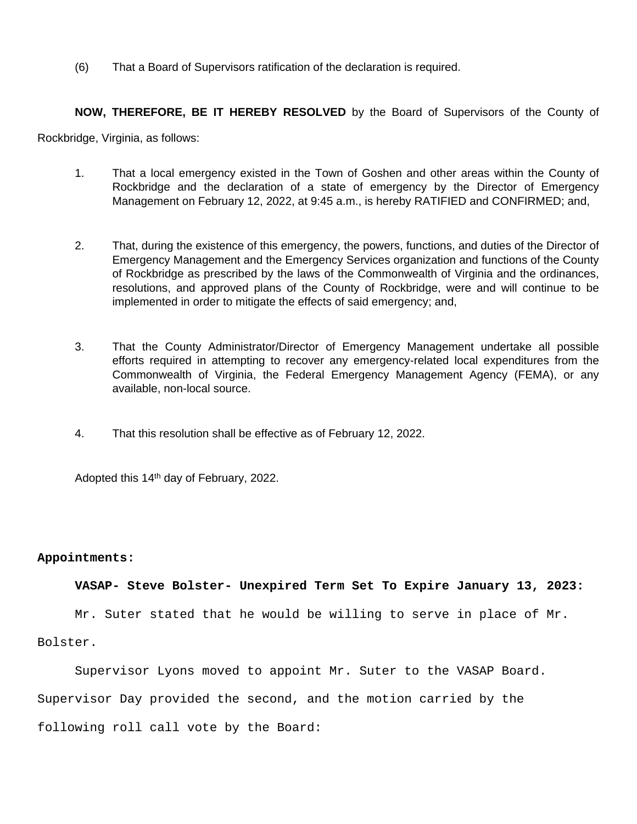(6) That a Board of Supervisors ratification of the declaration is required.

**NOW, THEREFORE, BE IT HEREBY RESOLVED** by the Board of Supervisors of the County of

Rockbridge, Virginia, as follows:

- 1. That a local emergency existed in the Town of Goshen and other areas within the County of Rockbridge and the declaration of a state of emergency by the Director of Emergency Management on February 12, 2022, at 9:45 a.m., is hereby RATIFIED and CONFIRMED; and,
- 2. That, during the existence of this emergency, the powers, functions, and duties of the Director of Emergency Management and the Emergency Services organization and functions of the County of Rockbridge as prescribed by the laws of the Commonwealth of Virginia and the ordinances, resolutions, and approved plans of the County of Rockbridge, were and will continue to be implemented in order to mitigate the effects of said emergency; and,
- 3. That the County Administrator/Director of Emergency Management undertake all possible efforts required in attempting to recover any emergency-related local expenditures from the Commonwealth of Virginia, the Federal Emergency Management Agency (FEMA), or any available, non-local source.
- 4. That this resolution shall be effective as of February 12, 2022.

Adopted this 14th day of February, 2022.

### **Appointments:**

### **VASAP- Steve Bolster- Unexpired Term Set To Expire January 13, 2023:**

Mr. Suter stated that he would be willing to serve in place of Mr.

Bolster.

Supervisor Lyons moved to appoint Mr. Suter to the VASAP Board.

Supervisor Day provided the second, and the motion carried by the

following roll call vote by the Board: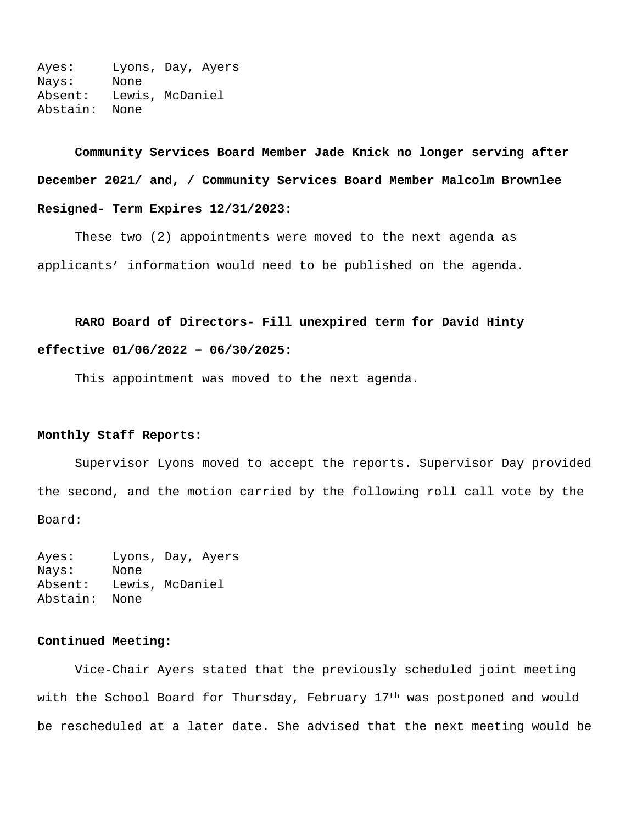Ayes: Lyons, Day, Ayers Nays: None Absent: Lewis, McDaniel Abstain: None

**Community Services Board Member Jade Knick no longer serving after December 2021/ and, / Community Services Board Member Malcolm Brownlee Resigned- Term Expires 12/31/2023:**

These two (2) appointments were moved to the next agenda as applicants' information would need to be published on the agenda.

# **RARO Board of Directors- Fill unexpired term for David Hinty**

### **effective 01/06/2022 – 06/30/2025:**

This appointment was moved to the next agenda.

# **Monthly Staff Reports:**

Supervisor Lyons moved to accept the reports. Supervisor Day provided the second, and the motion carried by the following roll call vote by the Board:

Ayes: Lyons, Day, Ayers Nays: None Absent: Lewis, McDaniel Abstain: None

# **Continued Meeting:**

Vice-Chair Ayers stated that the previously scheduled joint meeting with the School Board for Thursday, February 17<sup>th</sup> was postponed and would be rescheduled at a later date. She advised that the next meeting would be